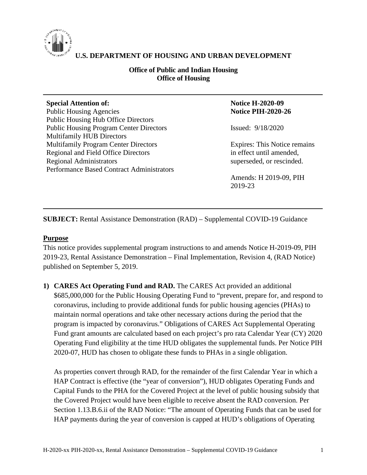

# **U.S. DEPARTMENT OF HOUSING AND URBAN DEVELOPMENT**

## **Office of Public and Indian Housing Office of Housing**

#### **Special Attention of:**

Public Housing Agencies Public Housing Hub Office Directors Public Housing Program Center Directors Multifamily HUB Directors Multifamily Program Center Directors Regional and Field Office Directors Regional Administrators Performance Based Contract Administrators

## **Notice H-2020-09 Notice PIH-2020-26**

Issued: 9/18/2020

Expires: This Notice remains in effect until amended, superseded, or rescinded.

Amends: H 2019-09, PIH 2019-23

**SUBJECT:** Rental Assistance Demonstration (RAD) – Supplemental COVID-19 Guidance

## **Purpose**

This notice provides supplemental program instructions to and amends Notice H-2019-09, PIH 2019-23, Rental Assistance Demonstration – Final Implementation, Revision 4, (RAD Notice) published on September 5, 2019.

**1) CARES Act Operating Fund and RAD.** The CARES Act provided an additional \$685,000,000 for the Public Housing Operating Fund to "prevent, prepare for, and respond to coronavirus, including to provide additional funds for public housing agencies (PHAs) to maintain normal operations and take other necessary actions during the period that the program is impacted by coronavirus." Obligations of CARES Act Supplemental Operating Fund grant amounts are calculated based on each project's pro rata Calendar Year (CY) 2020 Operating Fund eligibility at the time HUD obligates the supplemental funds. Per Notice PIH 2020-07, HUD has chosen to obligate these funds to PHAs in a single obligation.

As properties convert through RAD, for the remainder of the first Calendar Year in which a HAP Contract is effective (the "year of conversion"), HUD obligates Operating Funds and Capital Funds to the PHA for the Covered Project at the level of public housing subsidy that the Covered Project would have been eligible to receive absent the RAD conversion. Per Section 1.13.B.6.ii of the RAD Notice: "The amount of Operating Funds that can be used for HAP payments during the year of conversion is capped at HUD's obligations of Operating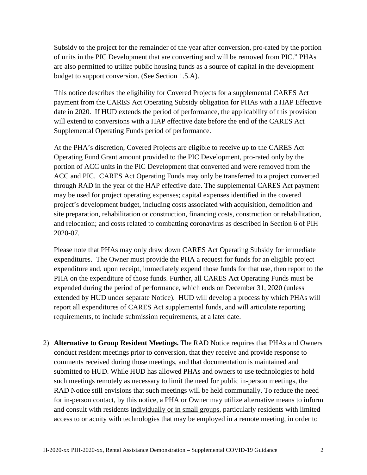Subsidy to the project for the remainder of the year after conversion, pro-rated by the portion of units in the PIC Development that are converting and will be removed from PIC." PHAs are also permitted to utilize public housing funds as a source of capital in the development budget to support conversion. (See Section 1.5.A).

This notice describes the eligibility for Covered Projects for a supplemental CARES Act payment from the CARES Act Operating Subsidy obligation for PHAs with a HAP Effective date in 2020. If HUD extends the period of performance, the applicability of this provision will extend to conversions with a HAP effective date before the end of the CARES Act Supplemental Operating Funds period of performance.

At the PHA's discretion, Covered Projects are eligible to receive up to the CARES Act Operating Fund Grant amount provided to the PIC Development, pro-rated only by the portion of ACC units in the PIC Development that converted and were removed from the ACC and PIC. CARES Act Operating Funds may only be transferred to a project converted through RAD in the year of the HAP effective date. The supplemental CARES Act payment may be used for project operating expenses; capital expenses identified in the covered project's development budget, including costs associated with acquisition, demolition and site preparation, rehabilitation or construction, financing costs, construction or rehabilitation, and relocation; and costs related to combatting coronavirus as described in Section 6 of PIH 2020-07.

Please note that PHAs may only draw down CARES Act Operating Subsidy for immediate expenditures. The Owner must provide the PHA a request for funds for an eligible project expenditure and, upon receipt, immediately expend those funds for that use, then report to the PHA on the expenditure of those funds. Further, all CARES Act Operating Funds must be expended during the period of performance, which ends on December 31, 2020 (unless extended by HUD under separate Notice). HUD will develop a process by which PHAs will report all expenditures of CARES Act supplemental funds, and will articulate reporting requirements, to include submission requirements, at a later date.

2) **Alternative to Group Resident Meetings.** The RAD Notice requires that PHAs and Owners conduct resident meetings prior to conversion, that they receive and provide response to comments received during those meetings, and that documentation is maintained and submitted to HUD. While HUD has allowed PHAs and owners to use technologies to hold such meetings remotely as necessary to limit the need for public in-person meetings, the RAD Notice still envisions that such meetings will be held communally. To reduce the need for in-person contact, by this notice, a PHA or Owner may utilize alternative means to inform and consult with residents individually or in small groups, particularly residents with limited access to or acuity with technologies that may be employed in a remote meeting, in order to